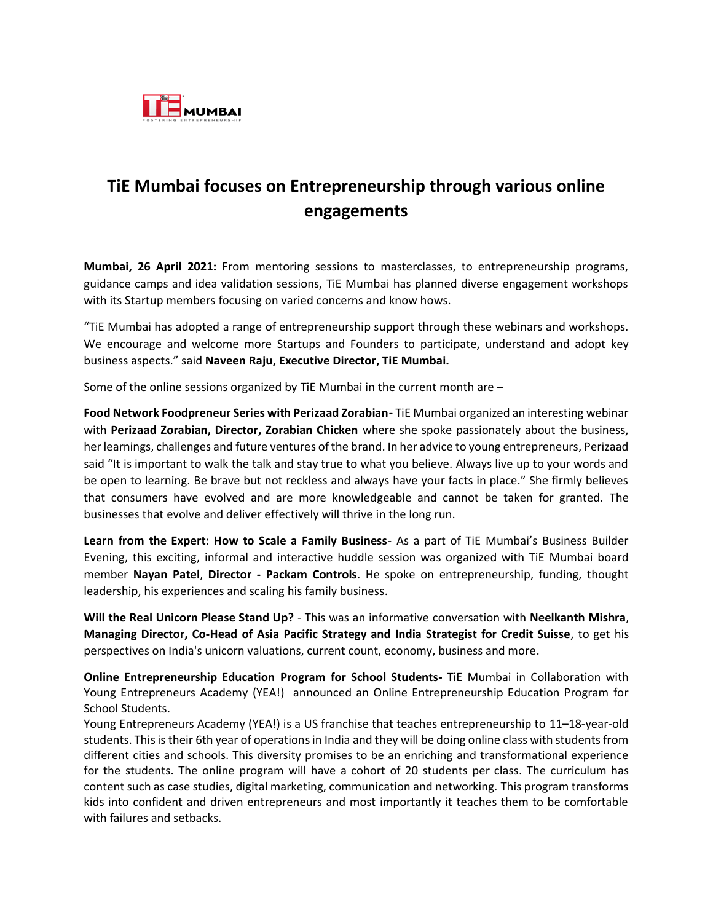

## **TiE Mumbai focuses on Entrepreneurship through various online engagements**

**Mumbai, 26 April 2021:** From mentoring sessions to masterclasses, to entrepreneurship programs, guidance camps and idea validation sessions, TiE Mumbai has planned diverse engagement workshops with its Startup members focusing on varied concerns and know hows.

"TiE Mumbai has adopted a range of entrepreneurship support through these webinars and workshops. We encourage and welcome more Startups and Founders to participate, understand and adopt key business aspects." said **Naveen Raju, Executive Director, TiE Mumbai.**

Some of the online sessions organized by TiE Mumbai in the current month are –

**Food Network Foodpreneur Series with Perizaad Zorabian-** TiE Mumbai organized an interesting webinar with **Perizaad Zorabian, Director, Zorabian Chicken** where she spoke passionately about the business, her learnings, challenges and future ventures of the brand. In her advice to young entrepreneurs, Perizaad said "It is important to walk the talk and stay true to what you believe. Always live up to your words and be open to learning. Be brave but not reckless and always have your facts in place." She firmly believes that consumers have evolved and are more knowledgeable and cannot be taken for granted. The businesses that evolve and deliver effectively will thrive in the long run.

**Learn from the Expert: How to Scale a Family Business**- As a part of TiE Mumbai's Business Builder Evening, this exciting, informal and interactive huddle session was organized with TiE Mumbai board member **Nayan Patel**, **Director - Packam Controls**. He spoke on entrepreneurship, funding, thought leadership, his experiences and scaling his family business.

**Will the Real Unicorn Please Stand Up?** - This was an informative conversation with **Neelkanth Mishra**, **Managing Director, Co-Head of Asia Pacific Strategy and India Strategist for Credit Suisse**, to get his perspectives on India's unicorn valuations, current count, economy, business and more.

**Online Entrepreneurship Education Program for School Students-** TiE Mumbai in Collaboration with Young Entrepreneurs Academy (YEA!) announced an Online Entrepreneurship Education Program for School Students.

Young Entrepreneurs Academy (YEA!) is a US franchise that teaches entrepreneurship to 11–18-year-old students. This is their 6th year of operations in India and they will be doing online class with students from different cities and schools. This diversity promises to be an enriching and transformational experience for the students. The online program will have a cohort of 20 students per class. The curriculum has content such as case studies, digital marketing, communication and networking. This program transforms kids into confident and driven entrepreneurs and most importantly it teaches them to be comfortable with failures and setbacks.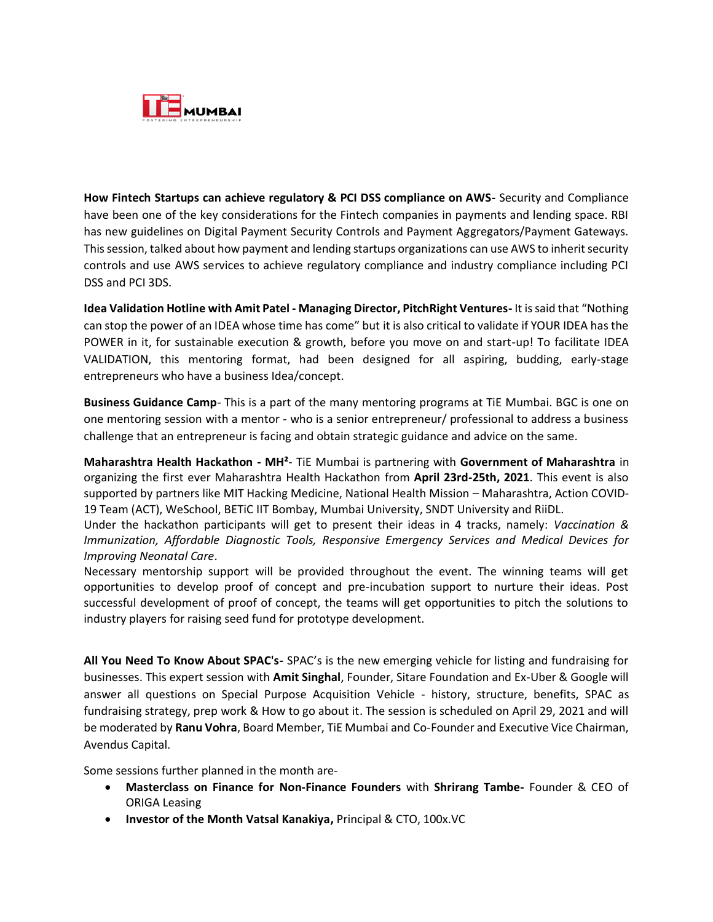

**How Fintech Startups can achieve regulatory & PCI DSS compliance on AWS-** Security and Compliance have been one of the key considerations for the Fintech companies in payments and lending space. RBI has new guidelines on Digital Payment Security Controls and Payment Aggregators/Payment Gateways. This session, talked about how payment and lending startups organizations can use AWS to inherit security controls and use AWS services to achieve regulatory compliance and industry compliance including PCI DSS and PCI 3DS.

**Idea Validation Hotline with Amit Patel - Managing Director, PitchRight Ventures-** It is said that "Nothing can stop the power of an IDEA whose time has come" but it is also critical to validate if YOUR IDEA has the POWER in it, for sustainable execution & growth, before you move on and start-up! To facilitate IDEA VALIDATION, this mentoring format, had been designed for all aspiring, budding, early-stage entrepreneurs who have a business Idea/concept.

**Business Guidance Camp**- This is a part of the many mentoring programs at TiE Mumbai. BGC is one on one mentoring session with a mentor - who is a senior entrepreneur/ professional to address a business challenge that an entrepreneur is facing and obtain strategic guidance and advice on the same.

**Maharashtra Health Hackathon - MH²**- TiE Mumbai is partnering with **Government of Maharashtra** in organizing the first ever Maharashtra Health Hackathon from **April 23rd-25th, 2021**. This event is also supported by partners like MIT Hacking Medicine, National Health Mission – Maharashtra, Action COVID-19 Team (ACT), WeSchool, BETiC IIT Bombay, Mumbai University, SNDT University and RiiDL.

Under the hackathon participants will get to present their ideas in 4 tracks, namely: *Vaccination & Immunization, Affordable Diagnostic Tools, Responsive Emergency Services and Medical Devices for Improving Neonatal Care*.

Necessary mentorship support will be provided throughout the event. The winning teams will get opportunities to develop proof of concept and pre-incubation support to nurture their ideas. Post successful development of proof of concept, the teams will get opportunities to pitch the solutions to industry players for raising seed fund for prototype development.

**All You Need To Know About SPAC's-** SPAC's is the new emerging vehicle for listing and fundraising for businesses. This expert session with **Amit Singhal**, Founder, Sitare Foundation and Ex-Uber & Google will answer all questions on Special Purpose Acquisition Vehicle - history, structure, benefits, SPAC as fundraising strategy, prep work & How to go about it. The session is scheduled on April 29, 2021 and will be moderated by **Ranu Vohra**, Board Member, TiE Mumbai and Co-Founder and Executive Vice Chairman, Avendus Capital.

Some sessions further planned in the month are-

- **Masterclass on Finance for Non-Finance Founders** with **Shrirang Tambe-** Founder & CEO of ORIGA Leasing
- **Investor of the Month Vatsal Kanakiya,** Principal & CTO, 100x.VC